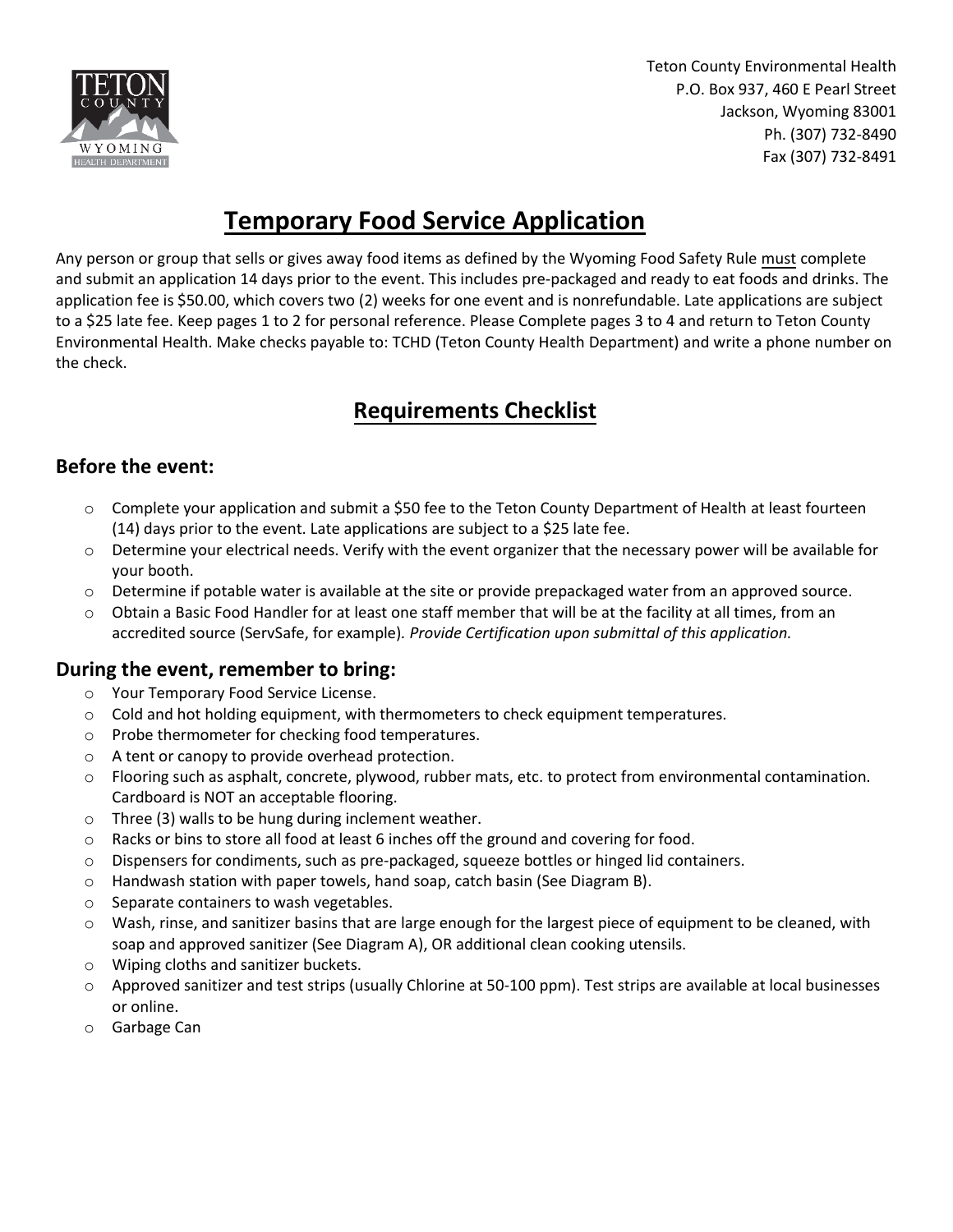

Teton County Environmental Health P.O. Box 937, 460 E Pearl Street Jackson, Wyoming 83001 Ph. (307) 732-8490 Fax (307) 732-8491

## **Temporary Food Service Application**

Any person or group that sells or gives away food items as defined by the Wyoming Food Safety Rule must complete and submit an application 14 days prior to the event. This includes pre-packaged and ready to eat foods and drinks. The application fee is \$50.00, which covers two (2) weeks for one event and is nonrefundable. Late applications are subject to a \$25 late fee. Keep pages 1 to 2 for personal reference. Please Complete pages 3 to 4 and return to Teton County Environmental Health. Make checks payable to: TCHD (Teton County Health Department) and write a phone number on the check.

## **Requirements Checklist**

#### **Before the event:**

- o Complete your application and submit a \$50 fee to the Teton County Department of Health at least fourteen (14) days prior to the event. Late applications are subject to a \$25 late fee.
- $\circ$  Determine your electrical needs. Verify with the event organizer that the necessary power will be available for your booth.
- o Determine if potable water is available at the site or provide prepackaged water from an approved source.
- o Obtain a Basic Food Handler for at least one staff member that will be at the facility at all times, from an accredited source (ServSafe, for example)*. Provide Certification upon submittal of this application.*

### **During the event, remember to bring:**

- o Your Temporary Food Service License.
- $\circ$  Cold and hot holding equipment, with thermometers to check equipment temperatures.
- o Probe thermometer for checking food temperatures.
- o A tent or canopy to provide overhead protection.
- o Flooring such as asphalt, concrete, plywood, rubber mats, etc. to protect from environmental contamination. Cardboard is NOT an acceptable flooring.
- o Three (3) walls to be hung during inclement weather.
- o Racks or bins to store all food at least 6 inches off the ground and covering for food.
- o Dispensers for condiments, such as pre-packaged, squeeze bottles or hinged lid containers.
- o Handwash station with paper towels, hand soap, catch basin (See Diagram B).
- o Separate containers to wash vegetables.
- o Wash, rinse, and sanitizer basins that are large enough for the largest piece of equipment to be cleaned, with soap and approved sanitizer (See Diagram A), OR additional clean cooking utensils.
- o Wiping cloths and sanitizer buckets.
- o Approved sanitizer and test strips (usually Chlorine at 50-100 ppm). Test strips are available at local businesses or online.
- o Garbage Can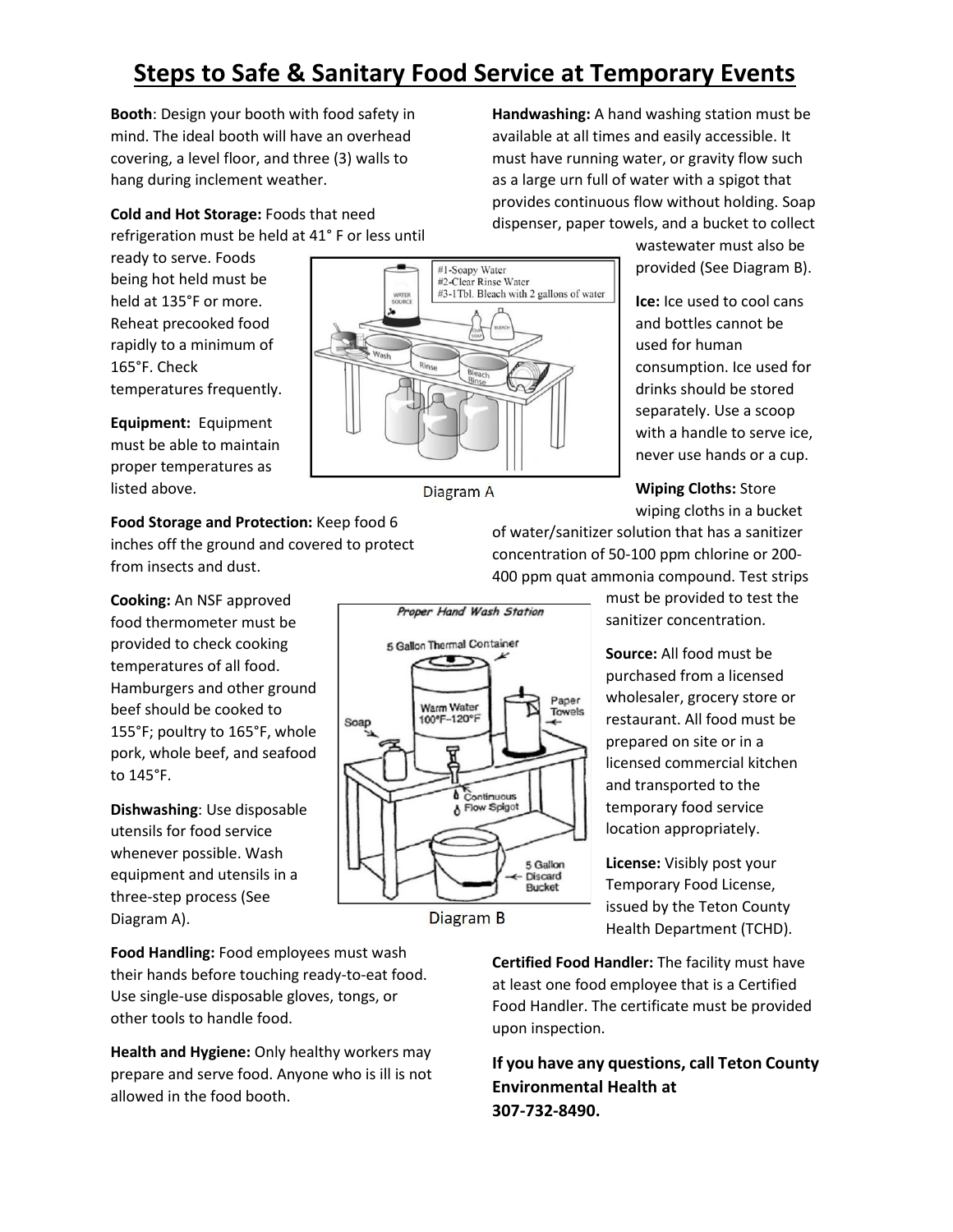# **Steps to Safe & Sanitary Food Service at Temporary Events**

**Booth**: Design your booth with food safety in mind. The ideal booth will have an overhead covering, a level floor, and three (3) walls to hang during inclement weather.

**Cold and Hot Storage:** Foods that need refrigeration must be held at 41° F or less until

ready to serve. Foods being hot held must be held at 135°F or more. Reheat precooked food rapidly to a minimum of 165°F. Check temperatures frequently.

**Equipment:** Equipment must be able to maintain proper temperatures as listed above.

### **Food Storage and Protection:** Keep food 6

inches off the ground and covered to protect from insects and dust.

**Cooking:** An NSF approved food thermometer must be provided to check cooking temperatures of all food. Hamburgers and other ground beef should be cooked to 155°F; poultry to 165°F, whole pork, whole beef, and seafood to 145°F.

**Dishwashing**: Use disposable utensils for food service whenever possible. Wash equipment and utensils in a three-step process (See Diagram A).

**Food Handling:** Food employees must wash their hands before touching ready-to-eat food. Use single-use disposable gloves, tongs, or other tools to handle food.

**Health and Hygiene:** Only healthy workers may prepare and serve food. Anyone who is ill is not allowed in the food booth.

**Handwashing:** A hand washing station must be available at all times and easily accessible. It must have running water, or gravity flow such as a large urn full of water with a spigot that provides continuous flow without holding. Soap dispenser, paper towels, and a bucket to collect

provided (See Diagram B).

**Ice:** Ice used to cool cans

#### **Wiping Cloths:** Store wiping cloths in a bucket

of water/sanitizer solution that has a sanitizer concentration of 50-100 ppm chlorine or 200- 400 ppm quat ammonia compound. Test strips

> must be provided to test the sanitizer concentration.

> **Source:** All food must be purchased from a licensed wholesaler, grocery store or restaurant. All food must be prepared on site or in a licensed commercial kitchen and transported to the temporary food service location appropriately.

**License:** Visibly post your Temporary Food License, issued by the Teton County Health Department (TCHD).

**Certified Food Handler:** The facility must have at least one food employee that is a Certified Food Handler. The certificate must be provided upon inspection.

**If you have any questions, call Teton County Environmental Health at 307-732-8490.**



Proper Hand Wash Station 5 Gallon Thermal Container Paper Warm Water Towels 100°F-120°F Soap Continuous ٨ Flow Spigot 5 Gallon **Discard Bucket** 

Diagram B

Diagram A

wastewater must also be

and bottles cannot be used for human consumption. Ice used for drinks should be stored separately. Use a scoop with a handle to serve ice, never use hands or a cup.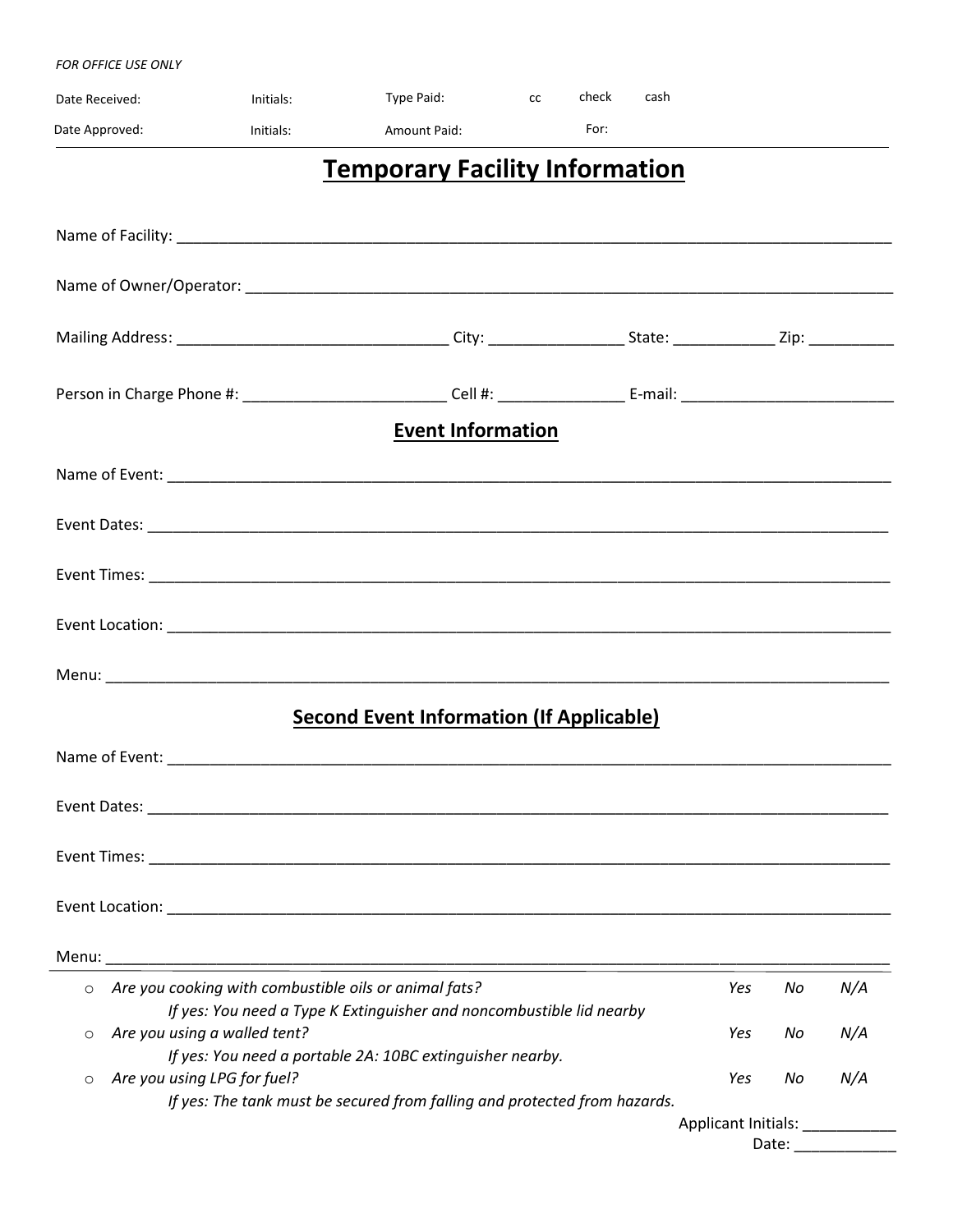#### *FOR OFFICE USE ONLY*

| Date Received:                          | Initials: | Type Paid:                                                                                                                        | cc | check | cash |     |    |     |
|-----------------------------------------|-----------|-----------------------------------------------------------------------------------------------------------------------------------|----|-------|------|-----|----|-----|
| Date Approved:                          | Initials: | <b>Amount Paid:</b>                                                                                                               |    | For:  |      |     |    |     |
|                                         |           | <b>Temporary Facility Information</b>                                                                                             |    |       |      |     |    |     |
|                                         |           |                                                                                                                                   |    |       |      |     |    |     |
|                                         |           |                                                                                                                                   |    |       |      |     |    |     |
|                                         |           |                                                                                                                                   |    |       |      |     |    |     |
|                                         |           |                                                                                                                                   |    |       |      |     |    |     |
|                                         |           |                                                                                                                                   |    |       |      |     |    |     |
|                                         |           | <b>Event Information</b>                                                                                                          |    |       |      |     |    |     |
|                                         |           |                                                                                                                                   |    |       |      |     |    |     |
|                                         |           |                                                                                                                                   |    |       |      |     |    |     |
|                                         |           |                                                                                                                                   |    |       |      |     |    |     |
|                                         |           |                                                                                                                                   |    |       |      |     |    |     |
|                                         |           |                                                                                                                                   |    |       |      |     |    |     |
|                                         |           | <b>Second Event Information (If Applicable)</b>                                                                                   |    |       |      |     |    |     |
|                                         |           |                                                                                                                                   |    |       |      |     |    |     |
|                                         |           |                                                                                                                                   |    |       |      |     |    |     |
|                                         |           |                                                                                                                                   |    |       |      |     |    |     |
|                                         |           |                                                                                                                                   |    |       |      |     |    |     |
|                                         |           |                                                                                                                                   |    |       |      |     |    |     |
| $\circ$                                 |           | Are you cooking with combustible oils or animal fats?                                                                             |    |       |      | Yes | No | N/A |
| Are you using a walled tent?<br>$\circ$ |           | If yes: You need a Type K Extinguisher and noncombustible lid nearby<br>If yes: You need a portable 2A: 10BC extinguisher nearby. |    |       |      | Yes | No | N/A |
| Are you using LPG for fuel?<br>$\circ$  |           |                                                                                                                                   |    |       |      | Yes | No | N/A |

*If yes: The tank must be secured from falling and protected from hazards.*

Applicant Initials: \_\_\_\_\_\_\_\_\_\_\_\_\_